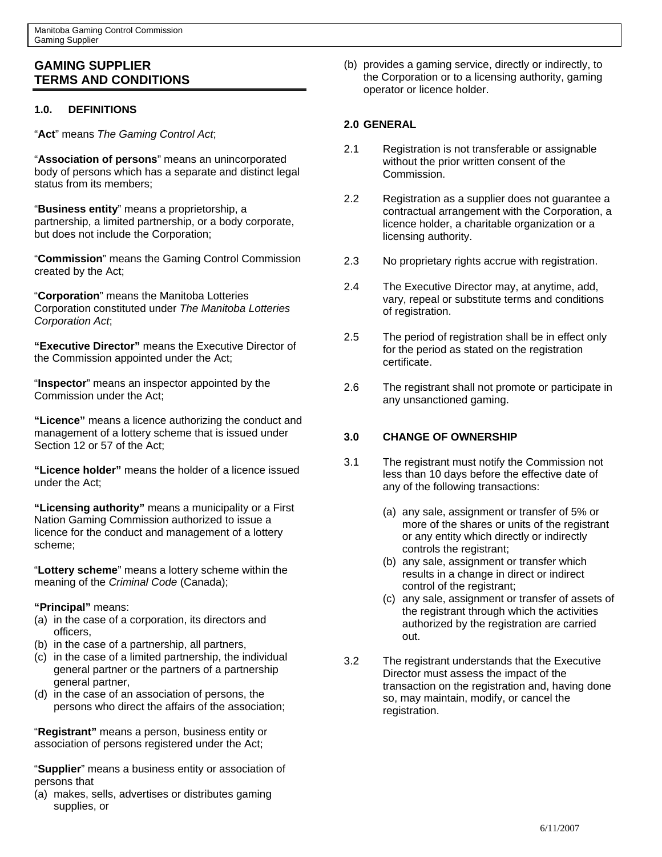# **GAMING SUPPLIER TERMS AND CONDITIONS**

## **1.0. DEFINITIONS**

"**Act**" means *The Gaming Control Act*;

"**Association of persons**" means an unincorporated body of persons which has a separate and distinct legal status from its members;

"**Business entity**" means a proprietorship, a partnership, a limited partnership, or a body corporate, but does not include the Corporation;

"**Commission**" means the Gaming Control Commission created by the Act;

"**Corporation**" means the Manitoba Lotteries Corporation constituted under *The Manitoba Lotteries Corporation Act*;

**"Executive Director"** means the Executive Director of the Commission appointed under the Act;

"**Inspector**" means an inspector appointed by the Commission under the Act;

**"Licence"** means a licence authorizing the conduct and management of a lottery scheme that is issued under Section 12 or 57 of the Act;

**"Licence holder"** means the holder of a licence issued under the Act;

**"Licensing authority"** means a municipality or a First Nation Gaming Commission authorized to issue a licence for the conduct and management of a lottery scheme;

"**Lottery scheme**" means a lottery scheme within the meaning of the *Criminal Code* (Canada);

## **"Principal"** means:

- (a) in the case of a corporation, its directors and officers,
- (b) in the case of a partnership, all partners,
- (c) in the case of a limited partnership, the individual general partner or the partners of a partnership general partner,
- (d) in the case of an association of persons, the persons who direct the affairs of the association;

"**Registrant"** means a person, business entity or association of persons registered under the Act;

"**Supplier**" means a business entity or association of persons that

(a) makes, sells, advertises or distributes gaming supplies, or

(b) provides a gaming service, directly or indirectly, to the Corporation or to a licensing authority, gaming operator or licence holder.

## **2.0 GENERAL**

- 2.1 Registration is not transferable or assignable without the prior written consent of the Commission.
- 2.2 Registration as a supplier does not guarantee a contractual arrangement with the Corporation, a licence holder, a charitable organization or a licensing authority.
- 2.3 No proprietary rights accrue with registration.
- 2.4 The Executive Director may, at anytime, add, vary, repeal or substitute terms and conditions of registration.
- 2.5 The period of registration shall be in effect only for the period as stated on the registration certificate.
- 2.6 The registrant shall not promote or participate in any unsanctioned gaming.

## **3.0 CHANGE OF OWNERSHIP**

- 3.1 The registrant must notify the Commission not less than 10 days before the effective date of any of the following transactions:
	- (a) any sale, assignment or transfer of 5% or more of the shares or units of the registrant or any entity which directly or indirectly controls the registrant;
	- (b) any sale, assignment or transfer which results in a change in direct or indirect control of the registrant;
	- (c) any sale, assignment or transfer of assets of the registrant through which the activities authorized by the registration are carried out.
- 3.2 The registrant understands that the Executive Director must assess the impact of the transaction on the registration and, having done so, may maintain, modify, or cancel the registration.